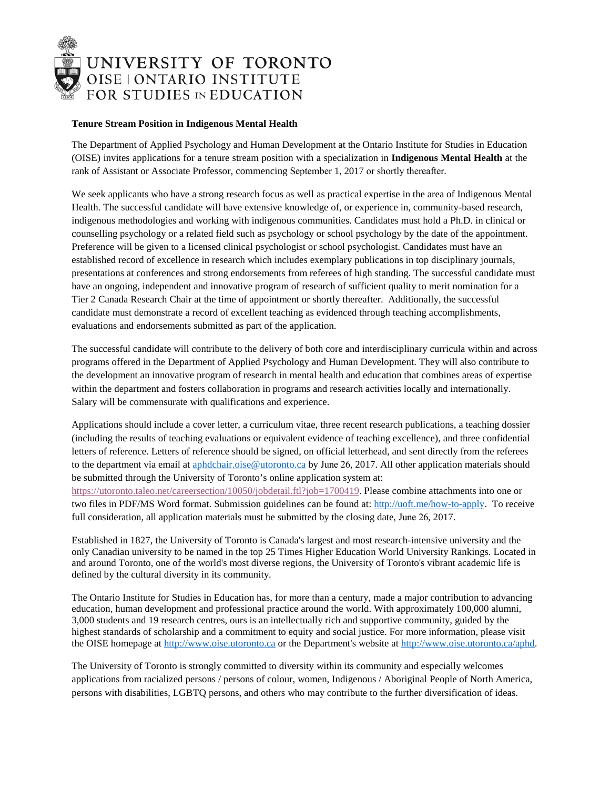

## **Tenure Stream Position in Indigenous Mental Health**

The Department of Applied Psychology and Human Development at the Ontario Institute for Studies in Education (OISE) invites applications for a tenure stream position with a specialization in **Indigenous Mental Health** at the rank of Assistant or Associate Professor, commencing September 1, 2017 or shortly thereafter.

We seek applicants who have a strong research focus as well as practical expertise in the area of Indigenous Mental Health. The successful candidate will have extensive knowledge of, or experience in, community-based research, indigenous methodologies and working with indigenous communities. Candidates must hold a Ph.D. in clinical or counselling psychology or a related field such as psychology or school psychology by the date of the appointment. Preference will be given to a licensed clinical psychologist or school psychologist. Candidates must have an established record of excellence in research which includes exemplary publications in top disciplinary journals, presentations at conferences and strong endorsements from referees of high standing. The successful candidate must have an ongoing, independent and innovative program of research of sufficient quality to merit nomination for a Tier 2 Canada Research Chair at the time of appointment or shortly thereafter. Additionally, the successful candidate must demonstrate a record of excellent teaching as evidenced through teaching accomplishments, evaluations and endorsements submitted as part of the application.

The successful candidate will contribute to the delivery of both core and interdisciplinary curricula within and across programs offered in the Department of Applied Psychology and Human Development. They will also contribute to the development an innovative program of research in mental health and education that combines areas of expertise within the department and fosters collaboration in programs and research activities locally and internationally. Salary will be commensurate with qualifications and experience.

Applications should include a cover letter, a curriculum vitae, three recent research publications, a teaching dossier (including the results of teaching evaluations or equivalent evidence of teaching excellence), and three confidential letters of reference. Letters of reference should be signed, on official letterhead, and sent directly from the referees to the department via email at [aphdchair.oise@utoronto.ca](mailto:aphdchair.oise@utoronto.ca) by June 26, 2017. All other application materials should be submitted through the University of Toronto's online application system at: [https://utoronto.taleo.net/careersection/10050/jobdetail.ftl?job=1700419.](https://utoronto.taleo.net/careersection/10050/jobdetail.ftl?job=1700419) Please combine attachments into one or two files in PDF/MS Word format. Submission guidelines can be found at: [http://uoft.me/how-to-apply.](http://uoft.me/how-to-apply) To receive full consideration, all application materials must be submitted by the closing date, June 26, 2017.

Established in 1827, the University of Toronto is Canada's largest and most research-intensive university and the only Canadian university to be named in the top 25 Times Higher Education World University Rankings. Located in and around Toronto, one of the world's most diverse regions, the University of Toronto's vibrant academic life is defined by the cultural diversity in its community.

The Ontario Institute for Studies in Education has, for more than a century, made a major contribution to advancing education, human development and professional practice around the world. With approximately 100,000 alumni, 3,000 students and 19 research centres, ours is an intellectually rich and supportive community, guided by the highest standards of scholarship and a commitment to equity and social justice. For more information, please visit the OISE homepage a[t http://www.oise.utoronto.ca](http://www.oise.utoronto.ca/) or the Department's website at [http://www.oise.utoronto.ca/aphd.](http://www.oise.utoronto.ca/aphd)

The University of Toronto is strongly committed to diversity within its community and especially welcomes applications from racialized persons / persons of colour, women, Indigenous / Aboriginal People of North America, persons with disabilities, LGBTQ persons, and others who may contribute to the further diversification of ideas.